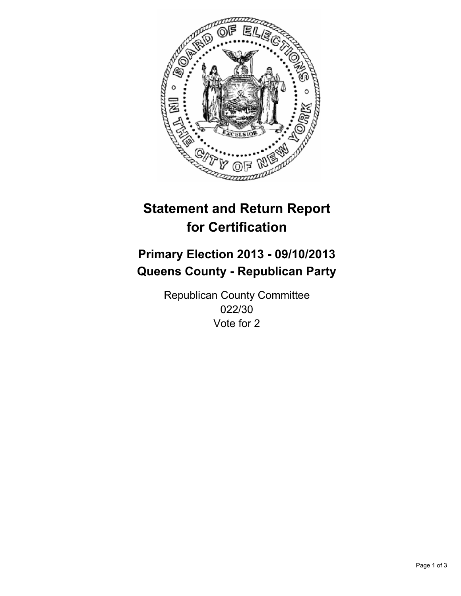

# **Statement and Return Report for Certification**

# **Primary Election 2013 - 09/10/2013 Queens County - Republican Party**

Republican County Committee 022/30 Vote for 2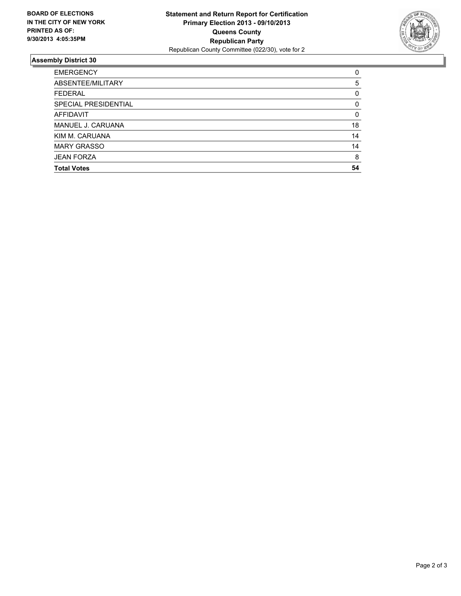

## **Assembly District 30**

| <b>EMERGENCY</b>     | 0        |
|----------------------|----------|
| ABSENTEE/MILITARY    | 5        |
| <b>FEDERAL</b>       | 0        |
| SPECIAL PRESIDENTIAL | $\Omega$ |
| <b>AFFIDAVIT</b>     | 0        |
| MANUEL J. CARUANA    | 18       |
| KIM M. CARUANA       | 14       |
| <b>MARY GRASSO</b>   | 14       |
| <b>JEAN FORZA</b>    | 8        |
| <b>Total Votes</b>   | 54       |